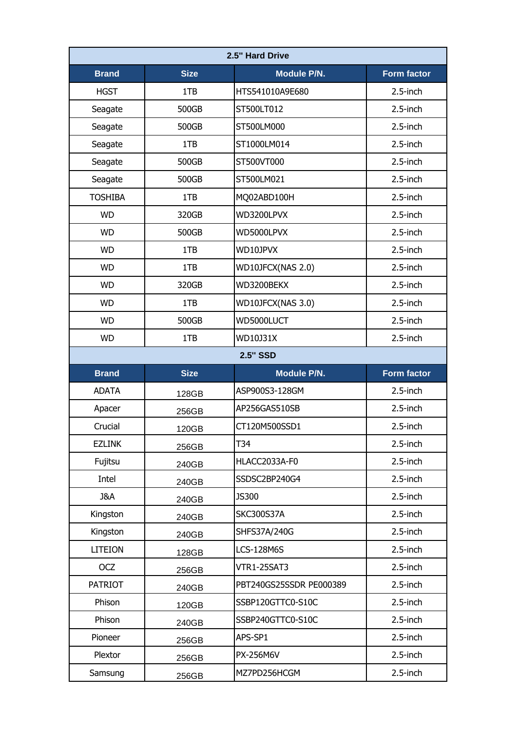| 2.5" Hard Drive |                 |                         |                    |  |  |
|-----------------|-----------------|-------------------------|--------------------|--|--|
| <b>Brand</b>    | <b>Size</b>     | <b>Module P/N.</b>      | <b>Form factor</b> |  |  |
| <b>HGST</b>     | 1TB             | HTS541010A9E680         | 2.5-inch           |  |  |
| Seagate         | 500GB           | ST500LT012              | $2.5$ -inch        |  |  |
| Seagate         | 500GB           | ST500LM000              | $2.5$ -inch        |  |  |
| Seagate         | 1TB             | ST1000LM014             | $2.5$ -inch        |  |  |
| Seagate         | 500GB           | ST500VT000              | 2.5-inch           |  |  |
| Seagate         | 500GB           | ST500LM021              | 2.5-inch           |  |  |
| <b>TOSHIBA</b>  | 1TB             | MQ02ABD100H             | $2.5$ -inch        |  |  |
| <b>WD</b>       | 320GB           | WD3200LPVX              | $2.5$ -inch        |  |  |
| <b>WD</b>       | 500GB           | WD5000LPVX              | 2.5-inch           |  |  |
| <b>WD</b>       | 1TB             | WD10JPVX                | $2.5$ -inch        |  |  |
| <b>WD</b>       | 1TB             | WD10JFCX(NAS 2.0)       | $2.5$ -inch        |  |  |
| <b>WD</b>       | 320GB           | WD3200BEKX              | 2.5-inch           |  |  |
| <b>WD</b>       | 1TB             | WD10JFCX(NAS 3.0)       | 2.5-inch           |  |  |
| <b>WD</b>       | 500GB           | WD5000LUCT              | 2.5-inch           |  |  |
| <b>WD</b>       | 1TB             | WD10J31X                | 2.5-inch           |  |  |
|                 | <b>2.5" SSD</b> |                         |                    |  |  |
|                 |                 |                         |                    |  |  |
| <b>Brand</b>    | <b>Size</b>     | <b>Module P/N.</b>      | <b>Form factor</b> |  |  |
| <b>ADATA</b>    | 128GB           | ASP900S3-128GM          | 2.5-inch           |  |  |
| Apacer          | 256GB           | AP256GAS510SB           | $2.5$ -inch        |  |  |
| Crucial         | 120GB           | CT120M500SSD1           | 2.5-inch           |  |  |
| <b>EZLINK</b>   | 256GB           | T34                     | 2.5-inch           |  |  |
| Fujitsu         | 240GB           | HLACC2033A-F0           | 2.5-inch           |  |  |
| Intel           | 240GB           | SSDSC2BP240G4           | 2.5-inch           |  |  |
| J&A             | 240GB           | <b>JS300</b>            | 2.5-inch           |  |  |
| Kingston        | 240GB           | <b>SKC300S37A</b>       | 2.5-inch           |  |  |
| Kingston        | 240GB           | SHFS37A/240G            | 2.5-inch           |  |  |
| <b>LITEION</b>  | 128GB           | <b>LCS-128M6S</b>       | 2.5-inch           |  |  |
| <b>OCZ</b>      | 256GB           | <b>VTR1-25SAT3</b>      | 2.5-inch           |  |  |
| <b>PATRIOT</b>  | 240GB           | PBT240GS25SSDR PE000389 | 2.5-inch           |  |  |
| Phison          | 120GB           | SSBP120GTTC0-S10C       | 2.5-inch           |  |  |
| Phison          | 240GB           | SSBP240GTTC0-S10C       | 2.5-inch           |  |  |
| Pioneer         | 256GB           | APS-SP1                 | $2.5$ -inch        |  |  |
| Plextor         | 256GB           | PX-256M6V               | 2.5-inch           |  |  |